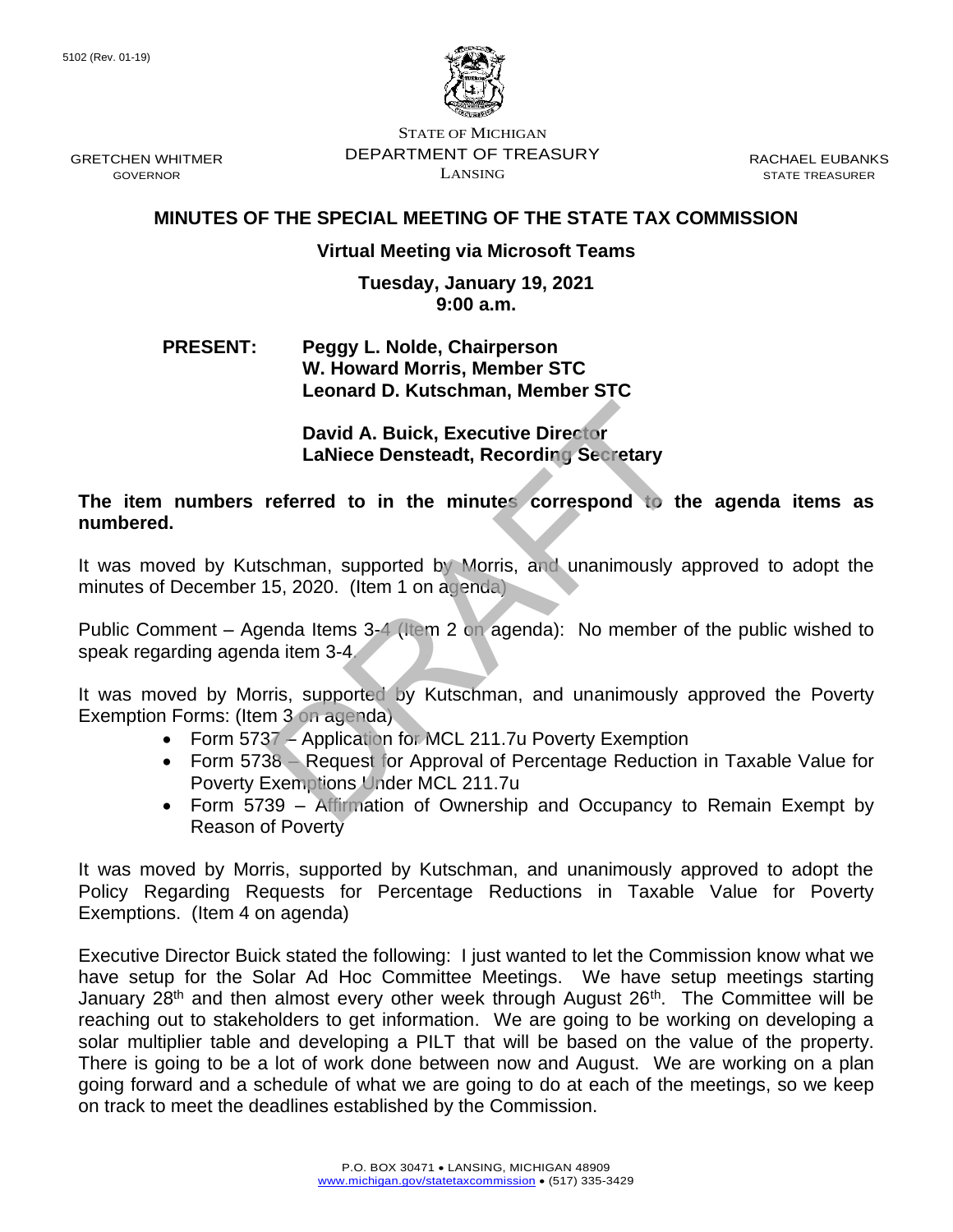

GRETCHEN WHITMER **DEPARTMENT OF TREASURY** RACHAEL EUBANKS STATE OF MICHIGAN  $\sum_{i=1}^{n}$  GOVERNOR STATE TREASURER

## **MINUTES OF THE SPECIAL MEETING OF THE STATE TAX COMMISSION**

## **Virtual Meeting via Microsoft Teams**

## **Tuesday, January 19, 2021 9:00 a.m.**

## **PRESENT: Peggy L. Nolde, Chairperson W. Howard Morris, Member STC Leonard D. Kutschman, Member STC**

**David A. Buick, Executive Director LaNiece Densteadt, Recording Secretary** 

 **The item numbers referred to in the minutes correspond to the agenda items as numbered.** 

 It was moved by Kutschman, supported by Morris, and unanimously approved to adopt the minutes of December 15, 2020. (Item 1 on agenda) David A. Buick, Executive Director<br>
LaNiece Densteadt, Recording Secretary<br>
referred to in the minutes correspond to the<br>
schman, supported by Morris, and unanimously a<br>
15, 2020. (Item 1 on agenda)<br>
enda Item 3-4<br>
and Ite

 Public Comment – Agenda Items 3-4 (Item 2 on agenda): No member of the public wished to speak regarding agenda item 3-4.

It was moved by Morris, supported by Kutschman, and unanimously approved the Poverty Exemption Forms: (Item 3 on agenda)

- Form 5737 Application for MCL 211.7u Poverty Exemption
- • Form 5738 Request for Approval of Percentage Reduction in Taxable Value for Poverty Exemptions Under MCL 211.7u
- • Form 5739 Affirmation of Ownership and Occupancy to Remain Exempt by Reason of Poverty

 It was moved by Morris, supported by Kutschman, and unanimously approved to adopt the Policy Regarding Requests for Percentage Reductions in Taxable Value for Poverty Exemptions. (Item 4 on agenda)

 Executive Director Buick stated the following: I just wanted to let the Commission know what we have setup for the Solar Ad Hoc Committee Meetings. We have setup meetings starting January 28<sup>th</sup> and then almost every other week through August 26<sup>th</sup>. The Committee will be reaching out to stakeholders to get information. We are going to be working on developing a solar multiplier table and developing a PILT that will be based on the value of the property. There is going to be a lot of work done between now and August. We are working on a plan going forward and a schedule of what we are going to do at each of the meetings, so we keep on track to meet the deadlines established by the Commission.